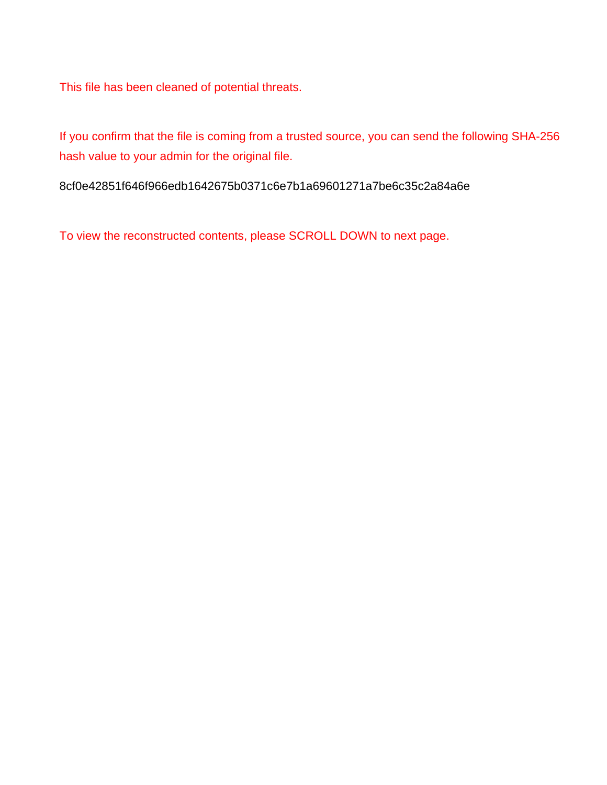This file has been cleaned of potential threats.

If you confirm that the file is coming from a trusted source, you can send the following SHA-256 hash value to your admin for the original file.

8cf0e42851f646f966edb1642675b0371c6e7b1a69601271a7be6c35c2a84a6e

To view the reconstructed contents, please SCROLL DOWN to next page.